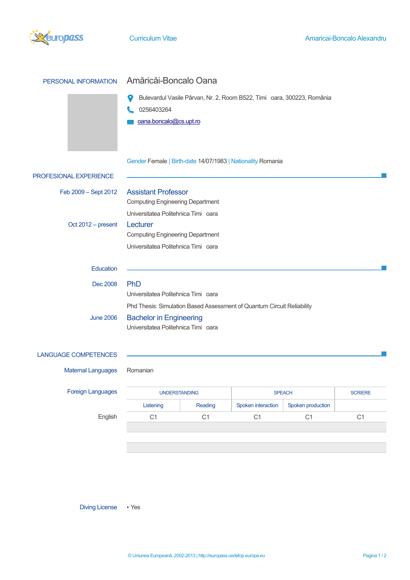

| PERSONAL INFORMATION        | Amăricăi-Boncalo Oana                                                                                                |  |  |  |
|-----------------------------|----------------------------------------------------------------------------------------------------------------------|--|--|--|
|                             | Bulevardul Vasile Pârvan, Nr. 2, Room B522, Timi oara, 300223, România<br>0256403264<br>oana.boncalo@cs.upt.ro       |  |  |  |
|                             | Gender Female   Birth-date 14/07/1983   Nationality Romania                                                          |  |  |  |
| PROFESIONAL EXPERIENCE      |                                                                                                                      |  |  |  |
| Feb 2009 - Sept 2012        | <b>Assistant Professor</b><br><b>Computing Engineering Department</b><br>Universitatea Politehnica Timi oara         |  |  |  |
| Oct 2012 - present          | Lecturer<br><b>Computing Engineering Department</b><br>Universitatea Politehnica Timi oara                           |  |  |  |
| Education                   |                                                                                                                      |  |  |  |
| Dec 2008                    | PhD<br>Universitatea Politehnica Timi oara<br>Phd Thesis: Simulation Based Assessment of Quantum Circuit Reliability |  |  |  |
| <b>June 2006</b>            | <b>Bachelor in Engineering</b><br>Universitatea Politehnica Timi oara                                                |  |  |  |
| <b>LANGUAGE COMPETENCES</b> |                                                                                                                      |  |  |  |
| <b>Maternal Languages</b>   | Romanian                                                                                                             |  |  |  |

Foreign Languag

| guages  | <b>UNDERSTANDING</b> |         | <b>SPEACH</b>      |                   | <b>SCRIERE</b> |
|---------|----------------------|---------|--------------------|-------------------|----------------|
|         | Listening            | Reading | Spoken interaction | Spoken production |                |
| English |                      | С1      |                    | С1                |                |
|         |                      |         |                    |                   |                |

Diving License • Yes